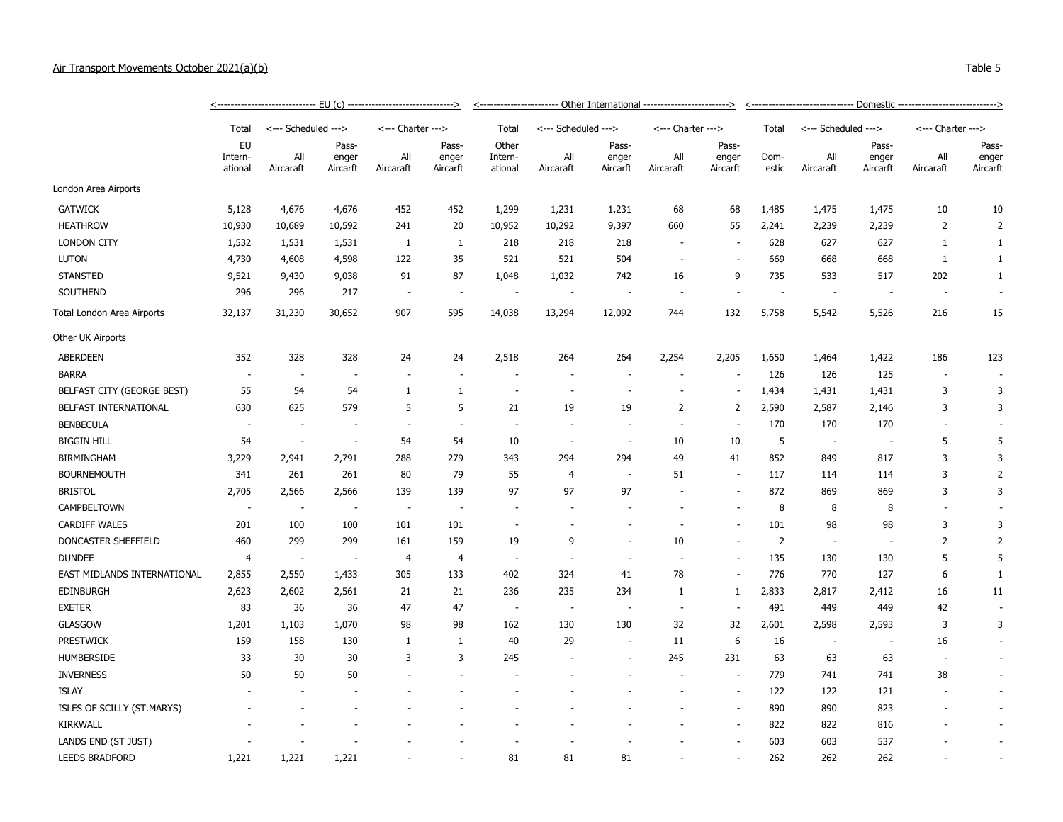## Air Transport Movements October 2021(a)(b) Table 5

|                             |                          |                          |                          |                          |                  | <----------------------- Other International ------------------------> |                          |                          |                          |                          |                          | <-------------------------------    Domestic ----------------------------> |                          |                   |                          |                   |  |
|-----------------------------|--------------------------|--------------------------|--------------------------|--------------------------|------------------|------------------------------------------------------------------------|--------------------------|--------------------------|--------------------------|--------------------------|--------------------------|----------------------------------------------------------------------------|--------------------------|-------------------|--------------------------|-------------------|--|
|                             | Total                    | <--- Scheduled --->      |                          | <--- Charter --->        |                  | Total<br>Other                                                         | <--- Scheduled --->      |                          | <--- Charter --->        |                          | Total                    | <--- Scheduled --->                                                        |                          | <--- Charter ---> |                          |                   |  |
|                             | EU<br>Intern-<br>ational |                          | Pass-                    |                          | Pass-            |                                                                        |                          | Pass-                    |                          | Pass-                    |                          |                                                                            | Pass-                    |                   | Pass-                    |                   |  |
|                             |                          |                          | All<br>Aircaraft         | enger<br>Aircarft        | All<br>Aircaraft | enger<br>Aircarft                                                      | Intern-<br>ational       | All<br>Aircaraft         | enger<br>Aircarft        | All<br>Aircaraft         | enger<br>Aircarft        | Dom-<br>estic                                                              | All<br>Aircaraft         | enger<br>Aircarft | All<br>Aircaraft         | enger<br>Aircarft |  |
| London Area Airports        |                          |                          |                          |                          |                  |                                                                        |                          |                          |                          |                          |                          |                                                                            |                          |                   |                          |                   |  |
| <b>GATWICK</b>              | 5,128                    | 4,676                    | 4,676                    | 452                      | 452              | 1,299                                                                  | 1,231                    | 1,231                    | 68                       | 68                       | 1,485                    | 1,475                                                                      | 1,475                    | 10                | 10                       |                   |  |
| <b>HEATHROW</b>             | 10,930                   | 10,689                   | 10,592                   | 241                      | 20               | 10,952                                                                 | 10,292                   | 9,397                    | 660                      | 55                       | 2,241                    | 2,239                                                                      | 2,239                    | 2                 | $\overline{2}$           |                   |  |
| <b>LONDON CITY</b>          | 1,532                    | 1,531                    | 1,531                    | 1                        | 1                | 218                                                                    | 218                      | 218                      |                          |                          | 628                      | 627                                                                        | 627                      | $\mathbf{1}$      | $\mathbf{1}$             |                   |  |
| <b>LUTON</b>                | 4,730                    | 4,608                    | 4,598                    | 122                      | 35               | 521                                                                    | 521                      | 504                      |                          |                          | 669                      | 668                                                                        | 668                      | 1                 | $\mathbf{1}$             |                   |  |
| <b>STANSTED</b>             | 9,521                    | 9,430                    | 9,038                    | 91                       | 87               | 1,048                                                                  | 1,032                    | 742                      | 16                       | 9                        | 735                      | 533                                                                        | 517                      | 202               | 1                        |                   |  |
| SOUTHEND                    | 296                      | 296                      | 217                      | $\overline{\phantom{a}}$ | $\sim$           | $\overline{\phantom{a}}$                                               | $\overline{\phantom{a}}$ | $\overline{\phantom{a}}$ |                          |                          | $\overline{\phantom{a}}$ | $\sim$                                                                     | $\overline{\phantom{a}}$ |                   |                          |                   |  |
| Total London Area Airports  | 32,137                   | 31,230                   | 30,652                   | 907                      | 595              | 14,038                                                                 | 13,294                   | 12,092                   | 744                      | 132                      | 5,758                    | 5,542                                                                      | 5,526                    | 216               | 15                       |                   |  |
| Other UK Airports           |                          |                          |                          |                          |                  |                                                                        |                          |                          |                          |                          |                          |                                                                            |                          |                   |                          |                   |  |
| <b>ABERDEEN</b>             | 352                      | 328                      | 328                      | 24                       | 24               | 2,518                                                                  | 264                      | 264                      | 2,254                    | 2,205                    | 1,650                    | 1,464                                                                      | 1,422                    | 186               | 123                      |                   |  |
| <b>BARRA</b>                | $\overline{\phantom{a}}$ |                          |                          |                          |                  |                                                                        |                          |                          |                          |                          | 126                      | 126                                                                        | 125                      |                   | $\overline{\phantom{a}}$ |                   |  |
| BELFAST CITY (GEORGE BEST)  | 55                       | 54                       | 54                       | 1                        | 1                | $\sim$                                                                 | ÷,                       | $\overline{a}$           |                          | $\overline{\phantom{a}}$ | 1,434                    | 1,431                                                                      | 1,431                    | 3                 | 3                        |                   |  |
| BELFAST INTERNATIONAL       | 630                      | 625                      | 579                      | 5                        | 5                | 21                                                                     | 19                       | 19                       | $\overline{2}$           | 2                        | 2,590                    | 2,587                                                                      | 2,146                    | 3                 | 3                        |                   |  |
| <b>BENBECULA</b>            | $\sim$                   | $\overline{\phantom{a}}$ |                          | $\blacksquare$           | $\sim$           | ÷.                                                                     | $\overline{\phantom{a}}$ | $\overline{\phantom{a}}$ |                          |                          | 170                      | 170                                                                        | 170                      |                   | $\sim$                   |                   |  |
| <b>BIGGIN HILL</b>          | 54                       | $\overline{\phantom{a}}$ | $\overline{\phantom{a}}$ | 54                       | 54               | 10                                                                     | $\overline{\phantom{a}}$ | $\overline{\phantom{a}}$ | 10                       | 10                       | 5                        | $\sim$                                                                     | ٠.                       | 5                 | 5                        |                   |  |
| <b>BIRMINGHAM</b>           | 3,229                    | 2,941                    | 2,791                    | 288                      | 279              | 343                                                                    | 294                      | 294                      | 49                       | 41                       | 852                      | 849                                                                        | 817                      | 3                 | 3                        |                   |  |
| <b>BOURNEMOUTH</b>          | 341                      | 261                      | 261                      | 80                       | 79               | 55                                                                     | $\overline{4}$           |                          | 51                       |                          | 117                      | 114                                                                        | 114                      | 3                 | $\overline{2}$           |                   |  |
| <b>BRISTOL</b>              | 2,705                    | 2,566                    | 2,566                    | 139                      | 139              | 97                                                                     | 97                       | 97                       |                          | $\overline{\phantom{a}}$ | 872                      | 869                                                                        | 869                      | 3                 | 3                        |                   |  |
| CAMPBELTOWN                 | ÷,                       | $\sim$                   |                          | $\overline{\phantom{a}}$ | $\sim$           |                                                                        |                          |                          |                          |                          | 8                        | 8                                                                          | 8                        |                   |                          |                   |  |
| <b>CARDIFF WALES</b>        | 201                      | 100                      | 100                      | 101                      | 101              | $\overline{\phantom{a}}$                                               |                          |                          |                          |                          | 101                      | 98                                                                         | 98                       | 3                 | 3                        |                   |  |
| DONCASTER SHEFFIELD         | 460                      | 299                      | 299                      | 161                      | 159              | 19                                                                     | 9                        |                          | 10                       |                          | $\overline{2}$           |                                                                            |                          | 2                 | 2                        |                   |  |
| <b>DUNDEE</b>               | 4                        | $\overline{\phantom{a}}$ | $\overline{\phantom{a}}$ | $\overline{4}$           | 4                | $\overline{\phantom{a}}$                                               | $\overline{\phantom{a}}$ | $\overline{\phantom{a}}$ | $\overline{\phantom{a}}$ | $\overline{\phantom{a}}$ | 135                      | 130                                                                        | 130                      | 5                 | 5                        |                   |  |
| EAST MIDLANDS INTERNATIONAL | 2,855                    | 2,550                    | 1,433                    | 305                      | 133              | 402                                                                    | 324                      | 41                       | 78                       |                          | 776                      | 770                                                                        | 127                      | 6                 | 1                        |                   |  |
| <b>EDINBURGH</b>            | 2,623                    | 2,602                    | 2,561                    | 21                       | 21               | 236                                                                    | 235                      | 234                      | $\mathbf{1}$             | 1                        | 2,833                    | 2,817                                                                      | 2,412                    | 16                | 11                       |                   |  |
| <b>EXETER</b>               | 83                       | 36                       | 36                       | 47                       | 47               | $\overline{\phantom{a}}$                                               | $\overline{\phantom{a}}$ | $\overline{\phantom{a}}$ |                          |                          | 491                      | 449                                                                        | 449                      | 42                | $\sim$                   |                   |  |
| <b>GLASGOW</b>              | 1,201                    | 1,103                    | 1,070                    | 98                       | 98               | 162                                                                    | 130                      | 130                      | 32                       | 32                       | 2,601                    | 2,598                                                                      | 2,593                    | 3                 | 3                        |                   |  |
| <b>PRESTWICK</b>            | 159                      | 158                      | 130                      | 1                        | 1                | 40                                                                     | 29                       | $\overline{\phantom{a}}$ | 11                       | 6                        | 16                       | $\sim$                                                                     |                          | 16                | $\blacksquare$           |                   |  |
| HUMBERSIDE                  | 33                       | 30                       | 30                       | 3                        | 3                | 245                                                                    |                          |                          | 245                      | 231                      | 63                       | 63                                                                         | 63                       |                   | $\sim$                   |                   |  |
| <b>INVERNESS</b>            | 50                       | 50                       | 50                       |                          |                  |                                                                        |                          |                          |                          | $\overline{\phantom{a}}$ | 779                      | 741                                                                        | 741                      | 38                | $\overline{\phantom{a}}$ |                   |  |
| <b>ISLAY</b>                |                          |                          |                          |                          |                  |                                                                        |                          |                          |                          |                          | 122                      | 122                                                                        | 121                      |                   | $\sim$                   |                   |  |
| ISLES OF SCILLY (ST.MARYS)  |                          |                          |                          |                          |                  |                                                                        |                          |                          |                          |                          | 890                      | 890                                                                        | 823                      |                   |                          |                   |  |
| <b>KIRKWALL</b>             |                          |                          |                          |                          |                  |                                                                        |                          |                          |                          |                          | 822                      | 822                                                                        | 816                      |                   | $\sim$                   |                   |  |
| LANDS END (ST JUST)         |                          |                          |                          |                          |                  |                                                                        |                          |                          |                          |                          | 603                      | 603                                                                        | 537                      |                   |                          |                   |  |
| <b>LEEDS BRADFORD</b>       | 1,221                    | 1,221                    | 1,221                    |                          |                  | 81                                                                     | 81                       | 81                       |                          |                          | 262                      | 262                                                                        | 262                      |                   |                          |                   |  |